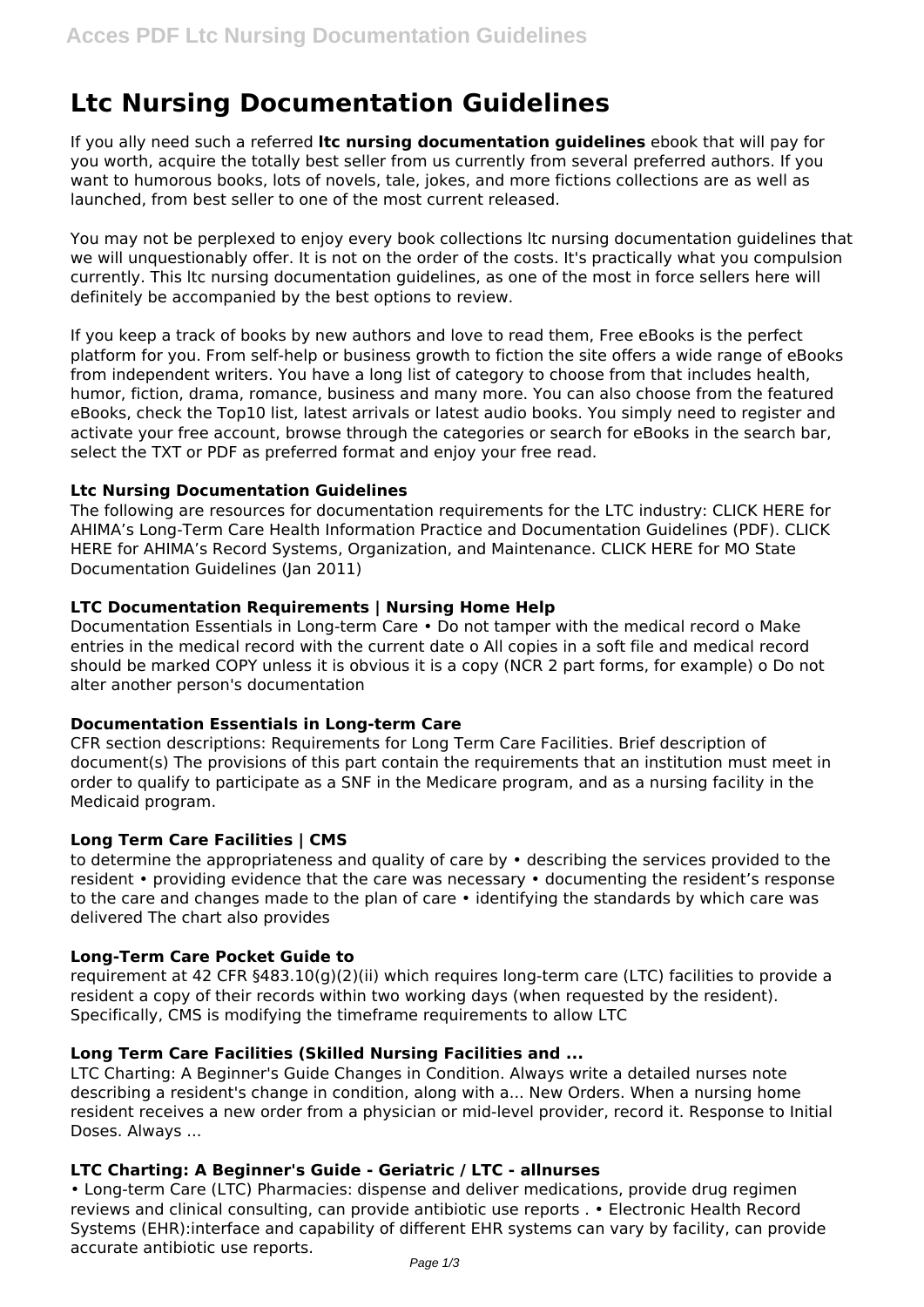# **Ltc Nursing Documentation Guidelines**

If you ally need such a referred **ltc nursing documentation guidelines** ebook that will pay for you worth, acquire the totally best seller from us currently from several preferred authors. If you want to humorous books, lots of novels, tale, jokes, and more fictions collections are as well as launched, from best seller to one of the most current released.

You may not be perplexed to enjoy every book collections ltc nursing documentation guidelines that we will unquestionably offer. It is not on the order of the costs. It's practically what you compulsion currently. This ltc nursing documentation guidelines, as one of the most in force sellers here will definitely be accompanied by the best options to review.

If you keep a track of books by new authors and love to read them, Free eBooks is the perfect platform for you. From self-help or business growth to fiction the site offers a wide range of eBooks from independent writers. You have a long list of category to choose from that includes health, humor, fiction, drama, romance, business and many more. You can also choose from the featured eBooks, check the Top10 list, latest arrivals or latest audio books. You simply need to register and activate your free account, browse through the categories or search for eBooks in the search bar, select the TXT or PDF as preferred format and enjoy your free read.

# **Ltc Nursing Documentation Guidelines**

The following are resources for documentation requirements for the LTC industry: CLICK HERE for AHIMA's Long-Term Care Health Information Practice and Documentation Guidelines (PDF). CLICK HERE for AHIMA's Record Systems, Organization, and Maintenance. CLICK HERE for MO State Documentation Guidelines (Jan 2011)

## **LTC Documentation Requirements | Nursing Home Help**

Documentation Essentials in Long-term Care • Do not tamper with the medical record o Make entries in the medical record with the current date o All copies in a soft file and medical record should be marked COPY unless it is obvious it is a copy (NCR 2 part forms, for example) o Do not alter another person's documentation

# **Documentation Essentials in Long-term Care**

CFR section descriptions: Requirements for Long Term Care Facilities. Brief description of document(s) The provisions of this part contain the requirements that an institution must meet in order to qualify to participate as a SNF in the Medicare program, and as a nursing facility in the Medicaid program.

# **Long Term Care Facilities | CMS**

to determine the appropriateness and quality of care by • describing the services provided to the resident • providing evidence that the care was necessary • documenting the resident's response to the care and changes made to the plan of care • identifying the standards by which care was delivered The chart also provides

#### **Long-Term Care Pocket Guide to**

requirement at 42 CFR §483.10(g)(2)(ii) which requires long-term care (LTC) facilities to provide a resident a copy of their records within two working days (when requested by the resident). Specifically, CMS is modifying the timeframe requirements to allow LTC

# **Long Term Care Facilities (Skilled Nursing Facilities and ...**

LTC Charting: A Beginner's Guide Changes in Condition. Always write a detailed nurses note describing a resident's change in condition, along with a... New Orders. When a nursing home resident receives a new order from a physician or mid-level provider, record it. Response to Initial Doses. Always ...

# **LTC Charting: A Beginner's Guide - Geriatric / LTC - allnurses**

• Long-term Care (LTC) Pharmacies: dispense and deliver medications, provide drug regimen reviews and clinical consulting, can provide antibiotic use reports . • Electronic Health Record Systems (EHR):interface and capability of different EHR systems can vary by facility, can provide accurate antibiotic use reports.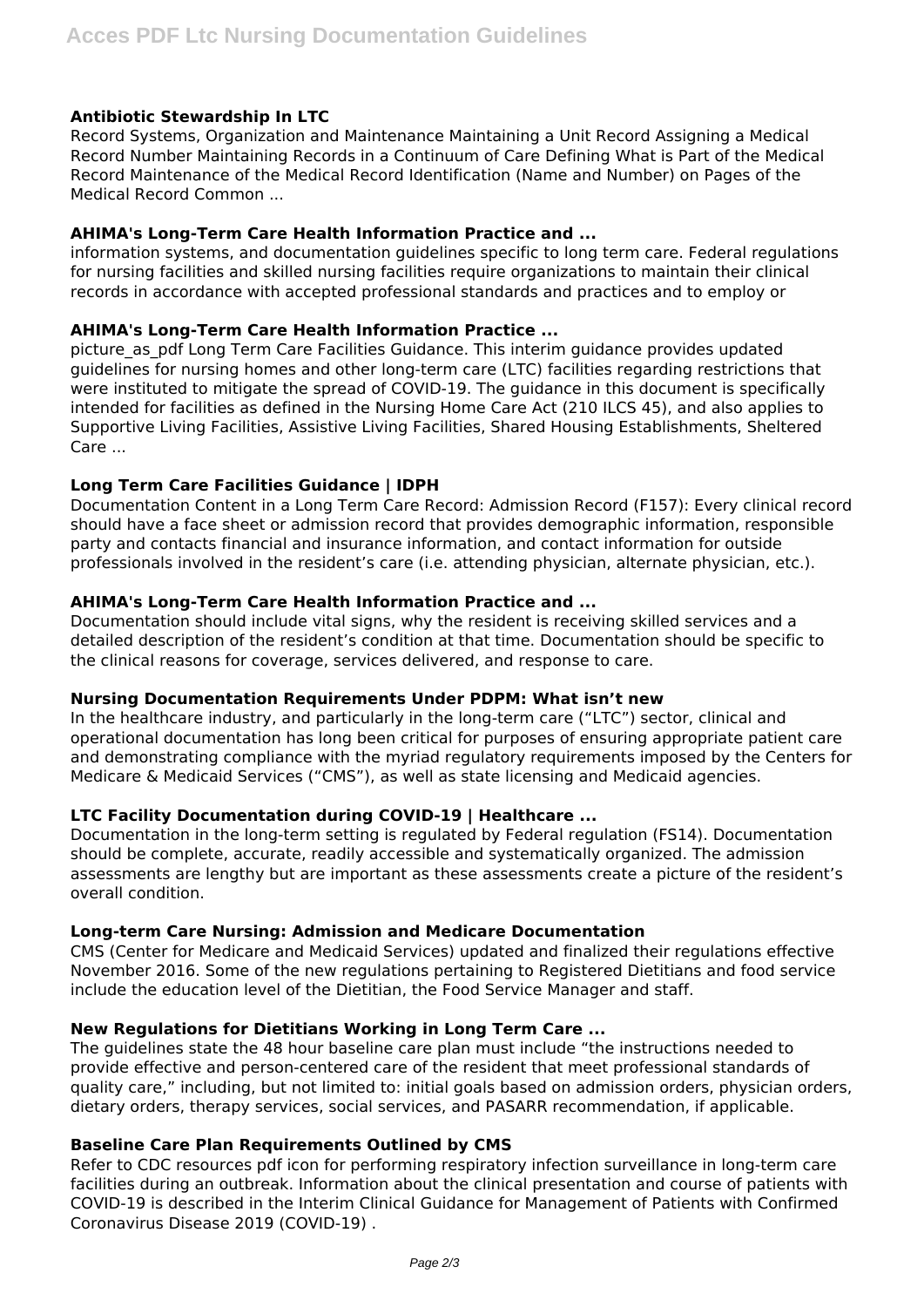# **Antibiotic Stewardship In LTC**

Record Systems, Organization and Maintenance Maintaining a Unit Record Assigning a Medical Record Number Maintaining Records in a Continuum of Care Defining What is Part of the Medical Record Maintenance of the Medical Record Identification (Name and Number) on Pages of the Medical Record Common ...

## **AHIMA's Long-Term Care Health Information Practice and ...**

information systems, and documentation guidelines specific to long term care. Federal regulations for nursing facilities and skilled nursing facilities require organizations to maintain their clinical records in accordance with accepted professional standards and practices and to employ or

## **AHIMA's Long-Term Care Health Information Practice ...**

picture\_as\_pdf Long Term Care Facilities Guidance. This interim guidance provides updated guidelines for nursing homes and other long-term care (LTC) facilities regarding restrictions that were instituted to mitigate the spread of COVID-19. The guidance in this document is specifically intended for facilities as defined in the Nursing Home Care Act (210 ILCS 45), and also applies to Supportive Living Facilities, Assistive Living Facilities, Shared Housing Establishments, Sheltered Care ...

## **Long Term Care Facilities Guidance | IDPH**

Documentation Content in a Long Term Care Record: Admission Record (F157): Every clinical record should have a face sheet or admission record that provides demographic information, responsible party and contacts financial and insurance information, and contact information for outside professionals involved in the resident's care (i.e. attending physician, alternate physician, etc.).

## **AHIMA's Long-Term Care Health Information Practice and ...**

Documentation should include vital signs, why the resident is receiving skilled services and a detailed description of the resident's condition at that time. Documentation should be specific to the clinical reasons for coverage, services delivered, and response to care.

#### **Nursing Documentation Requirements Under PDPM: What isn't new**

In the healthcare industry, and particularly in the long-term care ("LTC") sector, clinical and operational documentation has long been critical for purposes of ensuring appropriate patient care and demonstrating compliance with the myriad regulatory requirements imposed by the Centers for Medicare & Medicaid Services ("CMS"), as well as state licensing and Medicaid agencies.

### **LTC Facility Documentation during COVID-19 | Healthcare ...**

Documentation in the long-term setting is regulated by Federal regulation (FS14). Documentation should be complete, accurate, readily accessible and systematically organized. The admission assessments are lengthy but are important as these assessments create a picture of the resident's overall condition.

#### **Long-term Care Nursing: Admission and Medicare Documentation**

CMS (Center for Medicare and Medicaid Services) updated and finalized their regulations effective November 2016. Some of the new regulations pertaining to Registered Dietitians and food service include the education level of the Dietitian, the Food Service Manager and staff.

## **New Regulations for Dietitians Working in Long Term Care ...**

The guidelines state the 48 hour baseline care plan must include "the instructions needed to provide effective and person-centered care of the resident that meet professional standards of quality care," including, but not limited to: initial goals based on admission orders, physician orders, dietary orders, therapy services, social services, and PASARR recommendation, if applicable.

#### **Baseline Care Plan Requirements Outlined by CMS**

Refer to CDC resources pdf icon for performing respiratory infection surveillance in long-term care facilities during an outbreak. Information about the clinical presentation and course of patients with COVID-19 is described in the Interim Clinical Guidance for Management of Patients with Confirmed Coronavirus Disease 2019 (COVID-19) .